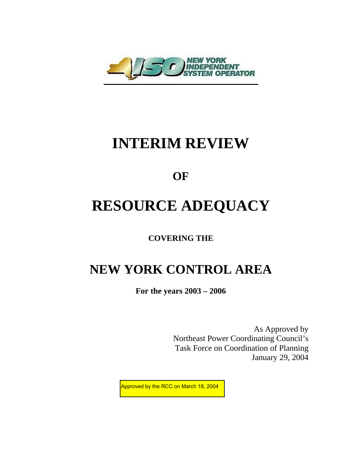

# **INTERIM REVIEW**

### **OF**

# **RESOURCE ADEQUACY**

**COVERING THE** 

## **NEW YORK CONTROL AREA**

**For the years 2003 – 2006** 

As Approved by Northeast Power Coordinating Council's Task Force on Coordination of Planning January 29, 2004

Approved by the RCC on March 18, 2004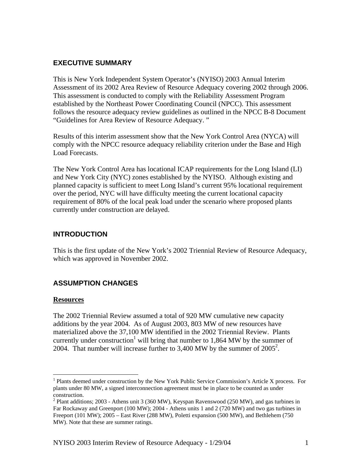#### **EXECUTIVE SUMMARY**

This is New York Independent System Operator's (NYISO) 2003 Annual Interim Assessment of its 2002 Area Review of Resource Adequacy covering 2002 through 2006. This assessment is conducted to comply with the Reliability Assessment Program established by the Northeast Power Coordinating Council (NPCC). This assessment follows the resource adequacy review guidelines as outlined in the NPCC B-8 Document "Guidelines for Area Review of Resource Adequacy. "

Results of this interim assessment show that the New York Control Area (NYCA) will comply with the NPCC resource adequacy reliability criterion under the Base and High Load Forecasts.

The New York Control Area has locational ICAP requirements for the Long Island (LI) and New York City (NYC) zones established by the NYISO. Although existing and planned capacity is sufficient to meet Long Island's current 95% locational requirement over the period, NYC will have difficulty meeting the current locational capacity requirement of 80% of the local peak load under the scenario where proposed plants currently under construction are delayed.

#### **INTRODUCTION**

This is the first update of the New York's 2002 Triennial Review of Resource Adequacy, which was approved in November 2002.

#### **ASSUMPTION CHANGES**

#### **Resources**

<u>.</u>

The 2002 Triennial Review assumed a total of 920 MW cumulative new capacity additions by the year 2004. As of August 2003, 803 MW of new resources have materialized above the 37,100 MW identified in the 2002 Triennial Review. Plants currently under construction<sup>1</sup> will bring that number to 1,864 MW by the summer of [2](#page-1-1)004. That number will increase further to  $3,400$  MW by the summer of  $2005^2$ .

<span id="page-1-0"></span><sup>&</sup>lt;sup>1</sup> Plants deemed under construction by the New York Public Service Commission's Article X process. For plants under 80 MW, a signed interconnection agreement must be in place to be counted as under construction.

<span id="page-1-1"></span> $2$  Plant additions; 2003 - Athens unit 3 (360 MW), Keyspan Ravenswood (250 MW), and gas turbines in Far Rockaway and Greenport (100 MW); 2004 - Athens units 1 and 2 (720 MW) and two gas turbines in Freeport (101 MW); 2005 – East River (288 MW), Poletti expansion (500 MW), and Bethlehem (750 MW). Note that these are summer ratings.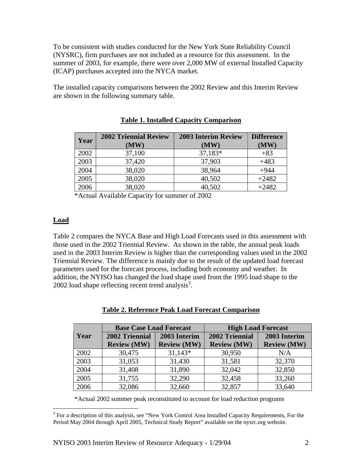To be consistent with studies conducted for the New York State Reliability Council (NYSRC), firm purchases are not included as a resource for this assessment. In the summer of 2003, for example, there were over 2,000 MW of external Installed Capacity (ICAP) purchases accepted into the NYCA market.

The installed capacity comparisons between the 2002 Review and this Interim Review are shown in the following summary table.

| Year | <b>2002 Triennial Review</b> | <b>2003 Interim Review</b> | <b>Difference</b> |
|------|------------------------------|----------------------------|-------------------|
|      | $(\mathbf{MW})$              | $(\mathbf{MW})$            | $(\mathbf{MW})$   |
| 2002 | 37,100                       | 37,183*                    | $+83$             |
| 2003 | 37,420                       | 37,903                     | $+483$            |
| 2004 | 38,020                       | 38,964                     | $+944$            |
| 2005 | 38,020                       | 40,502                     | $+2482$           |
| 2006 | 38,020                       | 40,502                     | $+2482$           |

#### **Table 1. Installed Capacity Comparison**

\*Actual Available Capacity for summer of 2002

#### **Load**

Table 2 compares the NYCA Base and High Load Forecasts used in this assessment with those used in the 2002 Triennial Review. As shown in the table, the annual peak loads used in the 2003 Interim Review is higher than the corresponding values used in the 2002 Triennial Review. The difference is mainly due to the result of the updated load forecast parameters used for the forecast process, including both economy and weather. In addition, the NYISO has changed the load shape used from the 1995 load shape to the 2002 load shape reflecting recent trend analysis<sup>[3](#page-2-0)</sup>.

|      | <b>Base Case Load Forecast</b> |                    | <b>High Load Forecast</b> |                    |  |
|------|--------------------------------|--------------------|---------------------------|--------------------|--|
| Year | 2002 Triennial                 | 2003 Interim       | 2002 Triennial            | 2003 Interim       |  |
|      | <b>Review (MW)</b>             | <b>Review (MW)</b> | <b>Review (MW)</b>        | <b>Review (MW)</b> |  |
| 2002 | 30,475                         | $31,143*$          | 30,950                    | N/A                |  |
| 2003 | 31,053                         | 31,430             | 31,581                    | 32,370             |  |
| 2004 | 31,408                         | 31,890             | 32,042                    | 32,850             |  |
| 2005 | 31,755                         | 32,290             | 32,458                    | 33,260             |  |
| 2006 | 32,086                         | 32,660             | 32,857                    | 33,640             |  |

#### **Table 2. Reference Peak Load Forecast Comparison**

\*Actual 2002 summer peak reconstituted to account for load reduction programs

<span id="page-2-0"></span><sup>&</sup>lt;sup>3</sup> For a description of this analysis, see "New York Control Area Installed Capacity Requirements, For the Period May 2004 through April 2005, Technical Study Report" available on the nysrc.org website.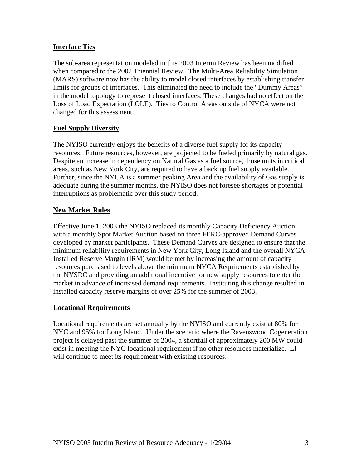#### **Interface Ties**

The sub-area representation modeled in this 2003 Interim Review has been modified when compared to the 2002 Triennial Review. The Multi-Area Reliability Simulation (MARS) software now has the ability to model closed interfaces by establishing transfer limits for groups of interfaces. This eliminated the need to include the "Dummy Areas" in the model topology to represent closed interfaces. These changes had no effect on the Loss of Load Expectation (LOLE). Ties to Control Areas outside of NYCA were not changed for this assessment.

#### **Fuel Supply Diversity**

The NYISO currently enjoys the benefits of a diverse fuel supply for its capacity resources. Future resources, however, are projected to be fueled primarily by natural gas. Despite an increase in dependency on Natural Gas as a fuel source, those units in critical areas, such as New York City, are required to have a back up fuel supply available. Further, since the NYCA is a summer peaking Area and the availability of Gas supply is adequate during the summer months, the NYISO does not foresee shortages or potential interruptions as problematic over this study period.

#### **New Market Rules**

Effective June 1, 2003 the NYISO replaced its monthly Capacity Deficiency Auction with a monthly Spot Market Auction based on three FERC-approved Demand Curves developed by market participants. These Demand Curves are designed to ensure that the minimum reliability requirements in New York City, Long Island and the overall NYCA Installed Reserve Margin (IRM) would be met by increasing the amount of capacity resources purchased to levels above the minimum NYCA Requirements established by the NYSRC and providing an additional incentive for new supply resources to enter the market in advance of increased demand requirements. Instituting this change resulted in installed capacity reserve margins of over 25% for the summer of 2003.

#### **Locational Requirements**

Locational requirements are set annually by the NYISO and currently exist at 80% for NYC and 95% for Long Island. Under the scenario where the Ravenswood Cogeneration project is delayed past the summer of 2004, a shortfall of approximately 200 MW could exist in meeting the NYC locational requirement if no other resources materialize. LI will continue to meet its requirement with existing resources.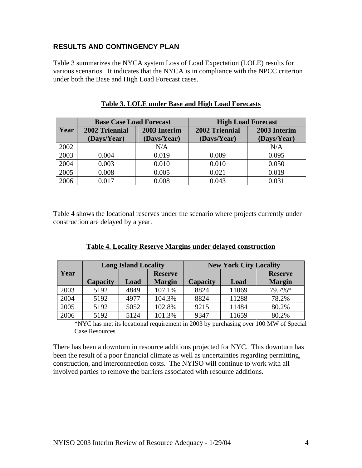#### **RESULTS AND CONTINGENCY PLAN**

Table 3 summarizes the NYCA system Loss of Load Expectation (LOLE) results for various scenarios. It indicates that the NYCA is in compliance with the NPCC criterion under both the Base and High Load Forecast cases.

|      | <b>Base Case Load Forecast</b> |              | <b>High Load Forecast</b> |              |  |
|------|--------------------------------|--------------|---------------------------|--------------|--|
| Year | 2002 Triennial                 | 2003 Interim | 2002 Triennial            | 2003 Interim |  |
|      | (Days/Year)                    | (Days/Year)  | (Days/Year)               | (Days/Year)  |  |
| 2002 |                                | N/A          |                           | N/A          |  |
| 2003 | 0.004                          | 0.019        | 0.009                     | 0.095        |  |
| 2004 | 0.003                          | 0.010        | 0.010                     | 0.050        |  |
| 2005 | 0.008                          | 0.005        | 0.021                     | 0.019        |  |
| 2006 | 0.017                          | 0.008        | 0.043                     | 0.031        |  |

#### **Table 3. LOLE under Base and High Load Forecasts**

Table 4 shows the locational reserves under the scenario where projects currently under construction are delayed by a year.

|      | <b>Long Island Locality</b> |      |                | <b>New York City Locality</b> |       |                |
|------|-----------------------------|------|----------------|-------------------------------|-------|----------------|
| Year |                             |      | <b>Reserve</b> |                               |       | <b>Reserve</b> |
|      | Capacity                    | Load | <b>Margin</b>  | Capacity                      | Load  | <b>Margin</b>  |
| 2003 | 5192                        | 4849 | 107.1%         | 8824                          | 11069 | 79.7%*         |
| 2004 | 5192                        | 4977 | 104.3%         | 8824                          | 11288 | 78.2%          |
| 2005 | 5192                        | 5052 | 102.8%         | 9215                          | 11484 | 80.2%          |
| 2006 | 5192                        | 5124 | 101.3%         | 9347                          | 11659 | 80.2%          |

\*NYC has met its locational requirement in 2003 by purchasing over 100 MW of Special Case Resources

There has been a downturn in resource additions projected for NYC. This downturn has been the result of a poor financial climate as well as uncertainties regarding permitting, construction, and interconnection costs. The NYISO will continue to work with all involved parties to remove the barriers associated with resource additions.